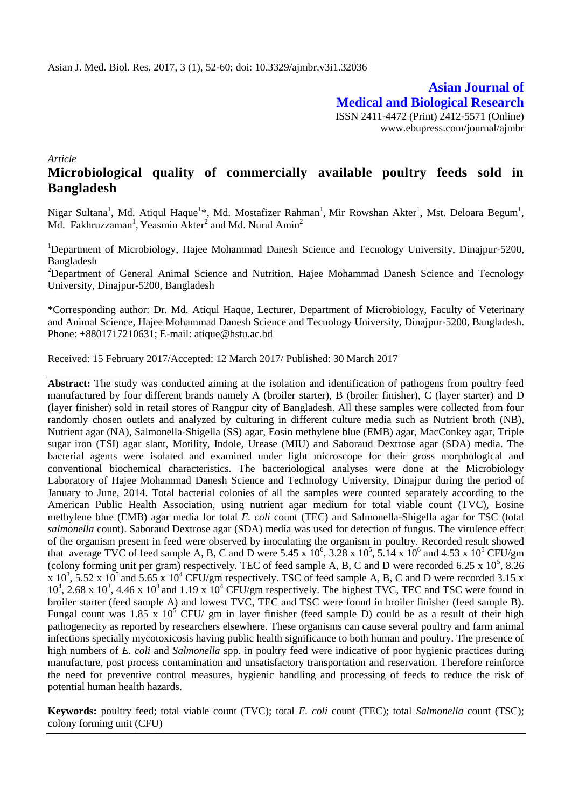**Asian Journal of Medical and Biological Research** ISSN 2411-4472 (Print) 2412-5571 (Online) www.ebupress.com/journal/ajmbr

*Article*

## **Microbiological quality of commercially available poultry feeds sold in Bangladesh**

Nigar Sultana<sup>1</sup>, Md. Atiqul Haque<sup>1\*</sup>, Md. Mostafizer Rahman<sup>1</sup>, Mir Rowshan Akter<sup>1</sup>, Mst. Deloara Begum<sup>1</sup>, Md. Fakhruzzaman<sup>1</sup>, Yeasmin Akter<sup>2</sup> and Md. Nurul Amin<sup>2</sup>

<sup>1</sup>Department of Microbiology, Hajee Mohammad Danesh Science and Tecnology University, Dinajpur-5200, Bangladesh

<sup>2</sup>Department of General Animal Science and Nutrition, Hajee Mohammad Danesh Science and Tecnology University, Dinajpur-5200, Bangladesh

\*Corresponding author: Dr. Md. Atiqul Haque, Lecturer, Department of Microbiology, Faculty of Veterinary and Animal Science, Hajee Mohammad Danesh Science and Tecnology University, Dinajpur-5200, Bangladesh. Phone: +8801717210631; E-mail: atique@hstu.ac.bd

Received: 15 February 2017/Accepted: 12 March 2017/ Published: 30 March 2017

**Abstract:** The study was conducted aiming at the isolation and identification of pathogens from poultry feed manufactured by four different brands namely A (broiler starter), B (broiler finisher), C (layer starter) and D (layer finisher) sold in retail stores of Rangpur city of Bangladesh. All these samples were collected from four randomly chosen outlets and analyzed by culturing in different culture media such as Nutrient broth (NB), Nutrient agar (NA), Salmonella-Shigella (SS) agar, Eosin methylene blue (EMB) agar, MacConkey agar, Triple sugar iron (TSI) agar slant, Motility, Indole, Urease (MIU) and Saboraud Dextrose agar (SDA) media. The bacterial agents were isolated and examined under light microscope for their gross morphological and conventional biochemical characteristics. The bacteriological analyses were done at the Microbiology Laboratory of Hajee Mohammad Danesh Science and Technology University, Dinajpur during the period of January to June, 2014. Total bacterial colonies of all the samples were counted separately according to the American Public Health Association, using nutrient agar medium for total viable count (TVC), Eosine methylene blue (EMB) agar media for total *E. coli* count (TEC) and Salmonella-Shigella agar for TSC (total *salmonella* count). Saboraud Dextrose agar (SDA) media was used for detection of fungus. The virulence effect of the organism present in feed were observed by inoculating the organism in poultry. Recorded result showed that average TVC of feed sample A, B, C and D were 5.45 x  $10^6$ , 3.28 x  $10^5$ , 5.14 x  $10^6$  and 4.53 x  $10^5$  CFU/gm (colony forming unit per gram) respectively. TEC of feed sample A, B, C and D were recorded 6.25 x  $10^5$ , 8.26 x 10<sup>3</sup>, 5.52 x 10<sup>5</sup> and 5.65 x 10<sup>4</sup> CFU/gm respectively. TSC of feed sample A, B, C and D were recorded 3.15 x  $10^4$ , 2.68 x  $10^3$ , 4.46 x  $10^3$  and 1.19 x  $10^4$  CFU/gm respectively. The highest TVC, TEC and TSC were found in broiler starter (feed sample A) and lowest TVC, TEC and TSC were found in broiler finisher (feed sample B). Fungal count was 1.85 x 10<sup>5</sup> CFU/ gm in layer finisher (feed sample D) could be as a result of their high pathogenecity as reported by researchers elsewhere. These organisms can cause several poultry and farm animal infections specially mycotoxicosis having public health significance to both human and poultry. The presence of high numbers of *E. coli* and *Salmonella* spp. in poultry feed were indicative of poor hygienic practices during manufacture, post process contamination and unsatisfactory transportation and reservation. Therefore reinforce the need for preventive control measures, hygienic handling and processing of feeds to reduce the risk of potential human health hazards.

**Keywords:** poultry feed; total viable count (TVC); total *E. coli* count (TEC); total *Salmonella* count (TSC); colony forming unit (CFU)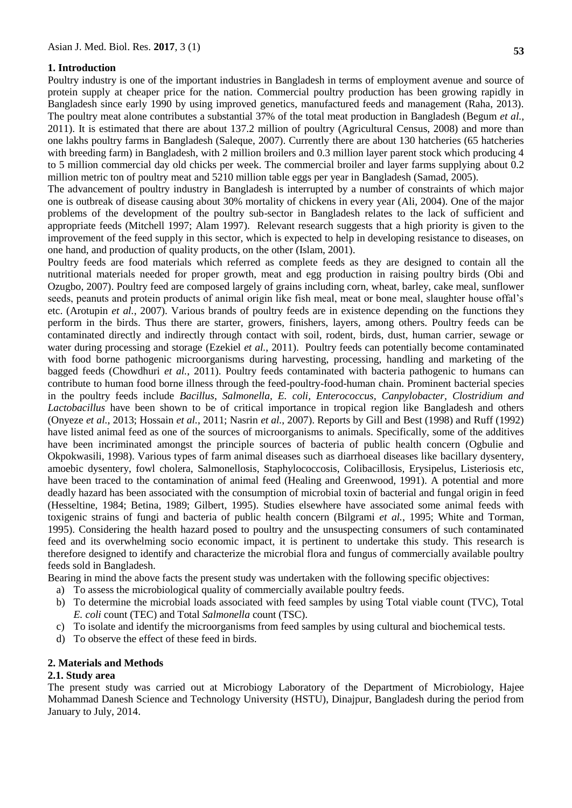## **1. Introduction**

Poultry industry is one of the important industries in Bangladesh in terms of employment avenue and source of protein supply at cheaper price for the nation. Commercial poultry production has been growing rapidly in Bangladesh since early 1990 by using improved genetics, manufactured feeds and management (Raha, 2013). The poultry meat alone contributes a substantial 37% of the total meat production in Bangladesh (Begum *et al.*, 2011). It is estimated that there are about 137.2 million of poultry (Agricultural Census, 2008) and more than one lakhs poultry farms in Bangladesh (Saleque, 2007). Currently there are about 130 hatcheries (65 hatcheries with breeding farm) in Bangladesh, with 2 million broilers and 0.3 million layer parent stock which producing 4 to 5 million commercial day old chicks per week. The commercial broiler and layer farms supplying about 0.2 million metric ton of poultry meat and 5210 million table eggs per year in Bangladesh (Samad, 2005).

The advancement of poultry industry in Bangladesh is interrupted by a number of constraints of which major one is outbreak of disease causing about 30% mortality of chickens in every year (Ali, 2004). One of the major problems of the development of the poultry sub-sector in Bangladesh relates to the lack of sufficient and appropriate feeds (Mitchell 1997; Alam 1997). Relevant research suggests that a high priority is given to the improvement of the feed supply in this sector, which is expected to help in developing resistance to diseases, on one hand, and production of quality products, on the other (Islam, 2001).

Poultry feeds are food materials which referred as complete feeds as they are designed to contain all the nutritional materials needed for proper growth, meat and egg production in raising poultry birds (Obi and Ozugbo, 2007). Poultry feed are composed largely of grains including corn, wheat, barley, cake meal, sunflower seeds, peanuts and protein products of animal origin like fish meal, meat or bone meal, slaughter house offal's etc. (Arotupin *et al.*, 2007). Various brands of poultry feeds are in existence depending on the functions they perform in the birds. Thus there are starter, growers, finishers, layers, among others. Poultry feeds can be contaminated directly and indirectly through contact with soil, rodent, birds, dust, human carrier, sewage or water during processing and storage (Ezekiel *et al.*, 2011). Poultry feeds can potentially become contaminated with food borne pathogenic microorganisms during harvesting, processing, handling and marketing of the bagged feeds (Chowdhuri *et al.*, 2011). Poultry feeds contaminated with bacteria pathogenic to humans can contribute to human food borne illness through the feed-poultry-food-human chain. Prominent bacterial species in the poultry feeds include *Bacillus*, *Salmonella, E. coli, Enterococcus, Canpylobacter, Clostridium and Lactobacillus* have been shown to be of critical importance in tropical region like Bangladesh and others (Onyeze *et al.*, 2013; Hossain *et al.*, 2011; Nasrin *et al.*, 2007). Reports by Gill and Best (1998) and Ruff (1992) have listed animal feed as one of the sources of microorganisms to animals. Specifically, some of the additives have been incriminated amongst the principle sources of bacteria of public health concern (Ogbulie and Okpokwasili, 1998). Various types of farm animal diseases such as diarrhoeal diseases like bacillary dysentery, amoebic dysentery, fowl cholera, Salmonellosis, Staphylococcosis, Colibacillosis, Erysipelus, Listeriosis etc, have been traced to the contamination of animal feed (Healing and Greenwood, 1991). A potential and more deadly hazard has been associated with the consumption of microbial toxin of bacterial and fungal origin in feed (Hesseltine, 1984; Betina, 1989; Gilbert, 1995). Studies elsewhere have associated some animal feeds with toxigenic strains of fungi and bacteria of public health concern (Bilgrami *et al.*, 1995; White and Torman, 1995). Considering the health hazard posed to poultry and the unsuspecting consumers of such contaminated feed and its overwhelming socio economic impact, it is pertinent to undertake this study. This research is therefore designed to identify and characterize the microbial flora and fungus of commercially available poultry feeds sold in Bangladesh.

Bearing in mind the above facts the present study was undertaken with the following specific objectives:

- a) To assess the microbiological quality of commercially available poultry feeds.
- b) To determine the microbial loads associated with feed samples by using Total viable count (TVC), Total *E. coli* count (TEC) and Total *Salmonella* count (TSC).
- c) To isolate and identify the microorganisms from feed samples by using cultural and biochemical tests.
- d) To observe the effect of these feed in birds.

#### **2. Materials and Methods**

#### **2.1. Study area**

The present study was carried out at Microbiogy Laboratory of the Department of Microbiology, Hajee Mohammad Danesh Science and Technology University (HSTU), Dinajpur, Bangladesh during the period from January to July, 2014.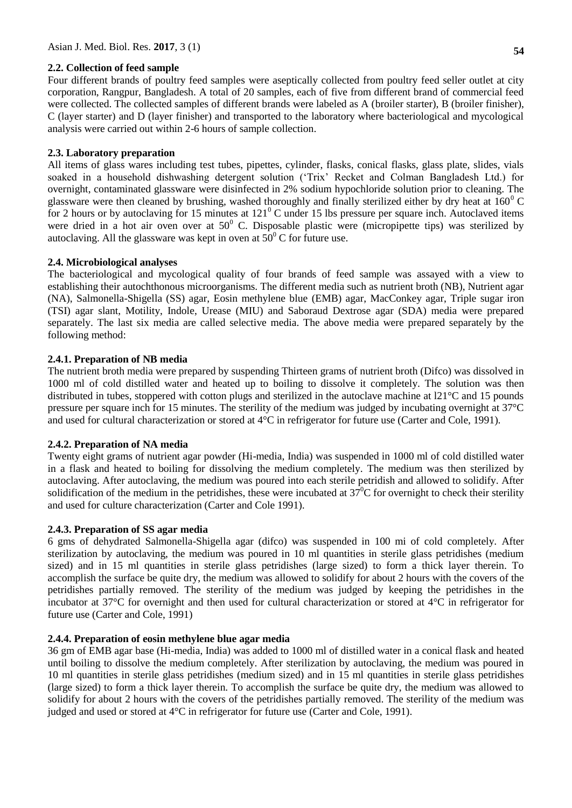## **2.2. Collection of feed sample**

Four different brands of poultry feed samples were aseptically collected from poultry feed seller outlet at city corporation, Rangpur, Bangladesh. A total of 20 samples, each of five from different brand of commercial feed were collected. The collected samples of different brands were labeled as A (broiler starter), B (broiler finisher), C (layer starter) and D (layer finisher) and transported to the laboratory where bacteriological and mycological analysis were carried out within 2-6 hours of sample collection.

## **2.3. Laboratory preparation**

All items of glass wares including test tubes, pipettes, cylinder, flasks, conical flasks, glass plate, slides, vials soaked in a household dishwashing detergent solution ('Trix' Recket and Colman Bangladesh Ltd.) for overnight, contaminated glassware were disinfected in 2% sodium hypochloride solution prior to cleaning. The glassware were then cleaned by brushing, washed thoroughly and finally sterilized either by dry heat at  $160^{\circ}$ C for 2 hours or by autoclaving for 15 minutes at  $121^{\circ}$ C under 15 lbs pressure per square inch. Autoclaved items were dried in a hot air oven over at  $50^{\circ}$  C. Disposable plastic were (micropipette tips) was sterilized by autoclaving. All the glassware was kept in oven at  $50^{\circ}$  C for future use.

## **2.4. Microbiological analyses**

The bacteriological and mycological quality of four brands of feed sample was assayed with a view to establishing their autochthonous microorganisms. The different media such as nutrient broth (NB), Nutrient agar (NA), Salmonella-Shigella (SS) agar, Eosin methylene blue (EMB) agar, MacConkey agar, Triple sugar iron (TSI) agar slant, Motility, Indole, Urease (MIU) and Saboraud Dextrose agar (SDA) media were prepared separately. The last six media are called selective media. The above media were prepared separately by the following method:

## **2.4.1. Preparation of NB media**

The nutrient broth media were prepared by suspending Thirteen grams of nutrient broth (Difco) was dissolved in 1000 ml of cold distilled water and heated up to boiling to dissolve it completely. The solution was then distributed in tubes, stoppered with cotton plugs and sterilized in the autoclave machine at l21°C and 15 pounds pressure per square inch for 15 minutes. The sterility of the medium was judged by incubating overnight at 37°C and used for cultural characterization or stored at 4°C in refrigerator for future use (Carter and Cole, 1991).

## **2.4.2. Preparation of NA media**

Twenty eight grams of nutrient agar powder (Hi-media, India) was suspended in 1000 ml of cold distilled water in a flask and heated to boiling for dissolving the medium completely. The medium was then sterilized by autoclaving. After autoclaving, the medium was poured into each sterile petridish and allowed to solidify. After solidification of the medium in the petridishes, these were incubated at  $37^{\circ}$ C for overnight to check their sterility and used for culture characterization (Carter and Cole 1991).

## **2.4.3. Preparation of SS agar media**

6 gms of dehydrated Salmonella-Shigella agar (difco) was suspended in 100 mi of cold completely. After sterilization by autoclaving, the medium was poured in 10 ml quantities in sterile glass petridishes (medium sized) and in 15 ml quantities in sterile glass petridishes (large sized) to form a thick layer therein. To accomplish the surface be quite dry, the medium was allowed to solidify for about 2 hours with the covers of the petridishes partially removed. The sterility of the medium was judged by keeping the petridishes in the incubator at 37°C for overnight and then used for cultural characterization or stored at 4°C in refrigerator for future use (Carter and Cole, 1991)

## **2.4.4. Preparation of eosin methylene blue agar media**

36 gm of EMB agar base (Hi-media, India) was added to 1000 ml of distilled water in a conical flask and heated until boiling to dissolve the medium completely. After sterilization by autoclaving, the medium was poured in 10 ml quantities in sterile glass petridishes (medium sized) and in 15 ml quantities in sterile glass petridishes (large sized) to form a thick layer therein. To accomplish the surface be quite dry, the medium was allowed to solidify for about 2 hours with the covers of the petridishes partially removed. The sterility of the medium was judged and used or stored at 4°C in refrigerator for future use (Carter and Cole, 1991).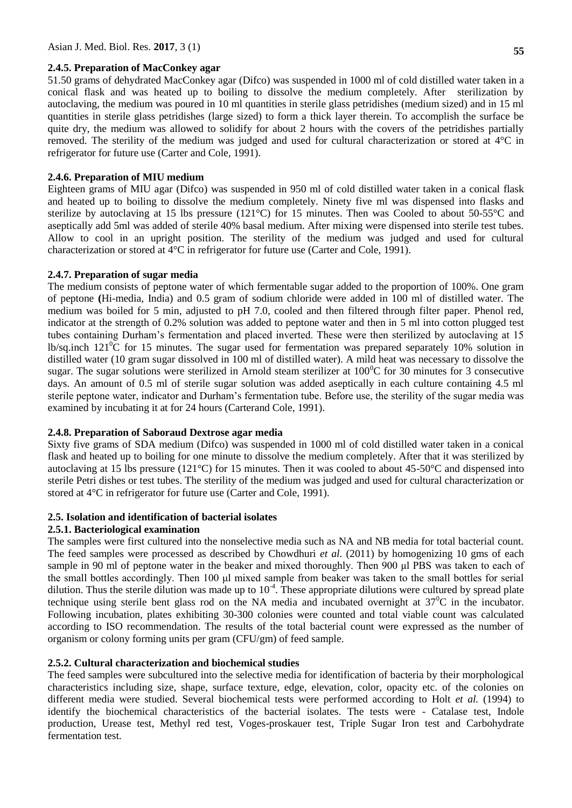#### **2.4.5. Preparation of MacConkey agar**

51.50 grams of dehydrated MacConkey agar (Difco) was suspended in 1000 ml of cold distilled water taken in a conical flask and was heated up to boiling to dissolve the medium completely. After sterilization by autoclaving, the medium was poured in 10 ml quantities in sterile glass petridishes (medium sized) and in 15 ml quantities in sterile glass petridishes (large sized) to form a thick layer therein. To accomplish the surface be quite dry, the medium was allowed to solidify for about 2 hours with the covers of the petridishes partially removed. The sterility of the medium was judged and used for cultural characterization or stored at 4°C in refrigerator for future use (Carter and Cole, 1991).

#### **2.4.6. Preparation of MIU medium**

Eighteen grams of MIU agar (Difco) was suspended in 950 ml of cold distilled water taken in a conical flask and heated up to boiling to dissolve the medium completely. Ninety five ml was dispensed into flasks and sterilize by autoclaving at 15 lbs pressure (121°C) for 15 minutes. Then was Cooled to about 50-55°C and aseptically add 5ml was added of sterile 40% basal medium. After mixing were dispensed into sterile test tubes. Allow to cool in an upright position. The sterility of the medium was judged and used for cultural characterization or stored at 4°C in refrigerator for future use (Carter and Cole, 1991).

#### **2.4.7. Preparation of sugar media**

The medium consists of peptone water of which fermentable sugar added to the proportion of 100%. One gram of peptone **(**Hi-media, India) and 0.5 gram of sodium chloride were added in 100 ml of distilled water. The medium was boiled for 5 min, adjusted to pH 7.0, cooled and then filtered through filter paper. Phenol red, indicator at the strength of 0.2% solution was added to peptone water and then in 5 ml into cotton plugged test tubes containing Durham's fermentation and placed inverted. These were then sterilized by autoclaving at 15 lb/sq.inch  $121^{\circ}$ C for 15 minutes. The sugar used for fermentation was prepared separately 10% solution in distilled water (10 gram sugar dissolved in 100 ml of distilled water). A mild heat was necessary to dissolve the sugar. The sugar solutions were sterilized in Arnold steam sterilizer at  $100^{\circ}$ C for 30 minutes for 3 consecutive days. An amount of 0.5 ml of sterile sugar solution was added aseptically in each culture containing 4.5 ml sterile peptone water, indicator and Durham's fermentation tube. Before use, the sterility of the sugar media was examined by incubating it at for 24 hours (Carterand Cole, 1991).

#### **2.4.8. Preparation of Saboraud Dextrose agar media**

Sixty five grams of SDA medium (Difco) was suspended in 1000 ml of cold distilled water taken in a conical flask and heated up to boiling for one minute to dissolve the medium completely. After that it was sterilized by autoclaving at 15 lbs pressure (121°C) for 15 minutes. Then it was cooled to about 45-50°C and dispensed into sterile Petri dishes or test tubes. The sterility of the medium was judged and used for cultural characterization or stored at 4°C in refrigerator for future use (Carter and Cole, 1991).

#### **2.5. Isolation and identification of bacterial isolates**

#### **2.5.1. Bacteriological examination**

The samples were first cultured into the nonselective media such as NA and NB media for total bacterial count. The feed samples were processed as described by Chowdhuri *et al.* (2011) by homogenizing 10 gms of each sample in 90 ml of peptone water in the beaker and mixed thoroughly. Then 900 μl PBS was taken to each of the small bottles accordingly. Then 100 μl mixed sample from beaker was taken to the small bottles for serial dilution. Thus the sterile dilution was made up to  $10^{-4}$ . These appropriate dilutions were cultured by spread plate technique using sterile bent glass rod on the NA media and incubated overnight at  $37^{\circ}$ C in the incubator. Following incubation, plates exhibiting 30-300 colonies were counted and total viable count was calculated according to ISO recommendation. The results of the total bacterial count were expressed as the number of organism or colony forming units per gram (CFU/gm) of feed sample.

#### **2.5.2. Cultural characterization and biochemical studies**

The feed samples were subcultured into the selective media for identification of bacteria by their morphological characteristics including size, shape, surface texture, edge, elevation, color, opacity etc. of the colonies on different media were studied. Several biochemical tests were performed according to Holt *et al.* (1994) to identify the biochemical characteristics of the bacterial isolates. The tests were - Catalase test, Indole production, Urease test, Methyl red test, Voges-proskauer test, Triple Sugar Iron test and Carbohydrate fermentation test.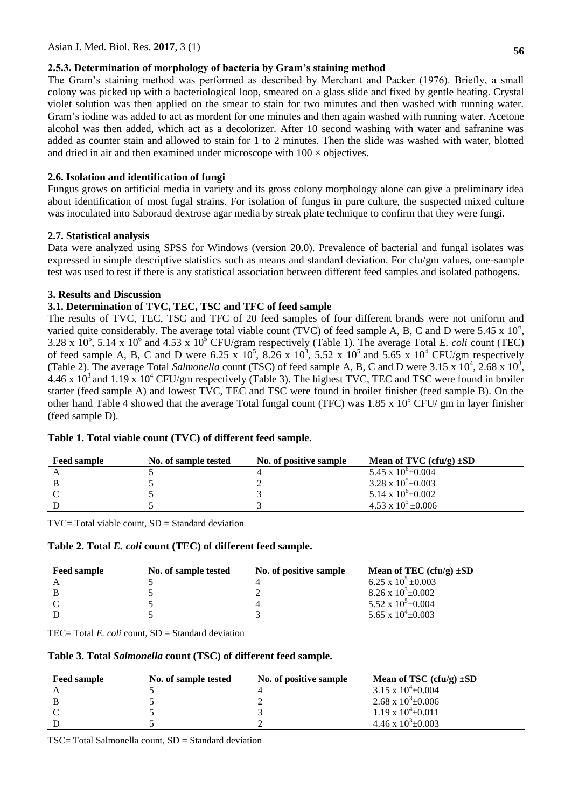## **2.5.3. Determination of morphology of bacteria by Gram's staining method**

The Gram's staining method was performed as described by Merchant and Packer (1976). Briefly, a small colony was picked up with a bacteriological loop, smeared on a glass slide and fixed by gentle heating. Crystal violet solution was then applied on the smear to stain for two minutes and then washed with running water. Gram's iodine was added to act as mordent for one minutes and then again washed with running water. Acetone alcohol was then added, which act as a decolorizer. After 10 second washing with water and safranine was added as counter stain and allowed to stain for 1 to 2 minutes. Then the slide was washed with water, blotted and dried in air and then examined under microscope with  $100 \times$  objectives.

## **2.6. Isolation and identification of fungi**

Fungus grows on artificial media in variety and its gross colony morphology alone can give a preliminary idea about identification of most fugal strains. For isolation of fungus in pure culture, the suspected mixed culture was inoculated into Saboraud dextrose agar media by streak plate technique to confirm that they were fungi.

## **2.7. Statistical analysis**

Data were analyzed using SPSS for Windows (version 20.0). Prevalence of bacterial and fungal isolates was expressed in simple descriptive statistics such as means and standard deviation. For cfu/gm values, one-sample test was used to test if there is any statistical association between different feed samples and isolated pathogens.

## **3. Results and Discussion**

## **3.1. Determination of TVC, TEC, TSC and TFC of feed sample**

The results of TVC, TEC, TSC and TFC of 20 feed samples of four different brands were not uniform and varied quite considerably. The average total viable count (TVC) of feed sample A, B, C and D were 5.45 x  $10^6$ , 3.28 x  $10^5$ , 5.14 x  $10^6$  and 4.53 x  $10^5$  CFU/gram respectively (Table 1). The average Total *E. coli* count (TEC) of feed sample A, B, C and D were 6.25 x  $10^5$ ,  $8.\overline{26}$  x  $10^3$ ,  $5.52$  x  $10^5$  and  $5.65$  x  $10^4$  CFU/gm respectively (Table 2). The average Total *Salmonella* count (TSC) of feed sample A, B, C and D were  $3.15 \times 10^4$ ,  $2.68 \times 10^3$ , 4.46 x 10<sup>3</sup> and 1.19 x 10<sup>4</sup> CFU/gm respectively (Table 3). The highest TVC, TEC and TSC were found in broiler starter (feed sample A) and lowest TVC, TEC and TSC were found in broiler finisher (feed sample B). On the other hand Table 4 showed that the average Total fungal count (TFC) was  $1.85 \times 10^5$  CFU/ gm in layer finisher (feed sample D).

| <b>Feed sample</b> | No. of sample tested | No. of positive sample | Mean of TVC $(cfu/g) \pm SD$   |
|--------------------|----------------------|------------------------|--------------------------------|
|                    |                      |                        | $5.45 \times 10^{6} \pm 0.004$ |
|                    |                      |                        | $3.28 \times 10^5 \pm 0.003$   |
|                    |                      |                        | $5.14 \times 10^{6} \pm 0.002$ |
|                    |                      |                        | $4.53 \times 10^5 \pm 0.006$   |

## **Table 1. Total viable count (TVC) of different feed sample.**

 $TVC = Total viable count, SD = Standard deviation$ 

**Table 2. Total** *E. coli* **count (TEC) of different feed sample.**

| <b>Feed sample</b> | No. of sample tested | No. of positive sample | Mean of TEC (cfu/g) $\pm SD$ |
|--------------------|----------------------|------------------------|------------------------------|
|                    |                      |                        | 6.25 x $10^5 \pm 0.003$      |
|                    |                      |                        | $8.26 \times 10^3 \pm 0.002$ |
|                    |                      |                        | 5.52 x $10^5 \pm 0.004$      |
|                    |                      |                        | 5.65 x $10^4 \pm 0.003$      |

TEC= Total *E. coli* count, SD = Standard deviation

## **Table 3. Total** *Salmonella* **count (TSC) of different feed sample.**

| <b>Feed sample</b> | No. of sample tested | No. of positive sample | Mean of TSC $(cfu/g) \pm SD$   |
|--------------------|----------------------|------------------------|--------------------------------|
|                    |                      |                        | $3.15 \times 10^{4} + 0.004$   |
|                    |                      |                        | 2.68 x $10^3 \pm 0.006$        |
|                    |                      |                        | $1.19 \times 10^{4} \pm 0.011$ |
|                    |                      |                        | 4.46 x $10^3 \pm 0.003$        |

TSC= Total Salmonella count, SD = Standard deviation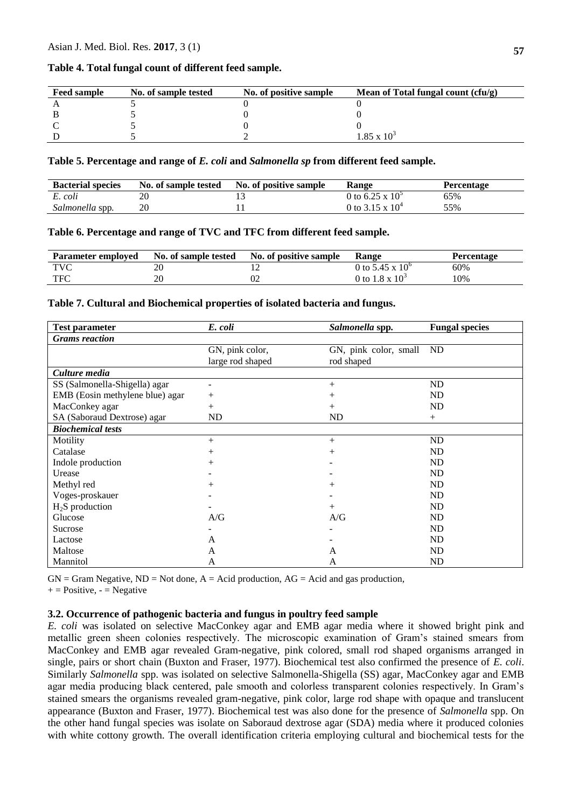#### **Table 4. Total fungal count of different feed sample.**

| <b>Feed sample</b> | No. of sample tested | No. of positive sample | Mean of Total fungal count (cfu/g) |
|--------------------|----------------------|------------------------|------------------------------------|
|                    |                      |                        |                                    |
|                    |                      |                        |                                    |
|                    |                      |                        |                                    |
|                    |                      |                        | $.85 \times 10^{3}$                |

#### **Table 5. Percentage and range of** *E. coli* **and** *Salmonella sp* **from different feed sample.**

| <b>Bacterial species</b> | No. of sample tested | No. of positive sample | <b>Range</b>       | Percentage |
|--------------------------|----------------------|------------------------|--------------------|------------|
| E. coli                  |                      |                        | 0 to 6.25 x $10^3$ | 65%        |
| Salmonella spp.          | 20                   |                        | 0 to 3.15 x $10^4$ | 55%        |

#### **Table 6. Percentage and range of TVC and TFC from different feed sample.**

| <b>Parameter employed</b> | No. of sample tested | No. of positive sample | Range                    | <b>Percentage</b> |
|---------------------------|----------------------|------------------------|--------------------------|-------------------|
| <b>TVC</b>                |                      |                        | 0 to 5.45 x $10^{\circ}$ | 60%               |
| <b>TFC</b>                | ንሰ                   | U2                     | 0 to $1.8 \times 10^3$   | ! 0%              |

#### **Table 7. Cultural and Biochemical properties of isolated bacteria and fungus.**

| <b>Test parameter</b>           | E. coli                             | Salmonella spp.                     | <b>Fungal species</b> |  |  |
|---------------------------------|-------------------------------------|-------------------------------------|-----------------------|--|--|
| <b>Grams</b> reaction           |                                     |                                     |                       |  |  |
|                                 | GN, pink color,<br>large rod shaped | GN, pink color, small<br>rod shaped | ND                    |  |  |
| Culture media                   |                                     |                                     |                       |  |  |
| SS (Salmonella-Shigella) agar   |                                     | $^{+}$                              | ND                    |  |  |
| EMB (Eosin methylene blue) agar | $^{+}$                              | $^{+}$                              | ND                    |  |  |
| MacConkey agar                  | $^{+}$                              | $^{+}$                              | ND                    |  |  |
| SA (Saboraud Dextrose) agar     | ND                                  | ND                                  | $^{+}$                |  |  |
| <b>Biochemical tests</b>        |                                     |                                     |                       |  |  |
| Motility                        | $^{+}$                              | $^{+}$                              | ND                    |  |  |
| Catalase                        | $^{+}$                              | $^{+}$                              | ND                    |  |  |
| Indole production               | $^{+}$                              |                                     | ND                    |  |  |
| Urease                          |                                     |                                     | ND                    |  |  |
| Methyl red                      | $^{+}$                              | $^{+}$                              | ND                    |  |  |
| Voges-proskauer                 |                                     |                                     | ND                    |  |  |
| $H2S$ production                |                                     | $^{+}$                              | ND                    |  |  |
| Glucose                         | A/G                                 | A/G                                 | ND                    |  |  |
| Sucrose                         |                                     |                                     | ND                    |  |  |
| Lactose                         | A                                   |                                     | ND                    |  |  |
| Maltose                         | A                                   | A                                   | ND                    |  |  |
| Mannitol                        | A                                   | A                                   | <b>ND</b>             |  |  |

 $GN = Gram Negative, ND = Not done, A = Acid production, AG = Acid and gas production,$  $+=$  Positive,  $=$  Negative

# **3.2. Occurrence of pathogenic bacteria and fungus in poultry feed sample**

*E. coli* was isolated on selective MacConkey agar and EMB agar media where it showed bright pink and metallic green sheen colonies respectively. The microscopic examination of Gram's stained smears from MacConkey and EMB agar revealed Gram-negative, pink colored, small rod shaped organisms arranged in single, pairs or short chain (Buxton and Fraser, 1977). Biochemical test also confirmed the presence of *E. coli*. Similarly *Salmonella* spp. was isolated on selective Salmonella-Shigella (SS) agar, MacConkey agar and EMB agar media producing black centered, pale smooth and colorless transparent colonies respectively. In Gram's stained smears the organisms revealed gram-negative, pink color, large rod shape with opaque and translucent appearance (Buxton and Fraser, 1977). Biochemical test was also done for the presence of *Salmonella* spp. On the other hand fungal species was isolate on Saboraud dextrose agar (SDA) media where it produced colonies with white cottony growth. The overall identification criteria employing cultural and biochemical tests for the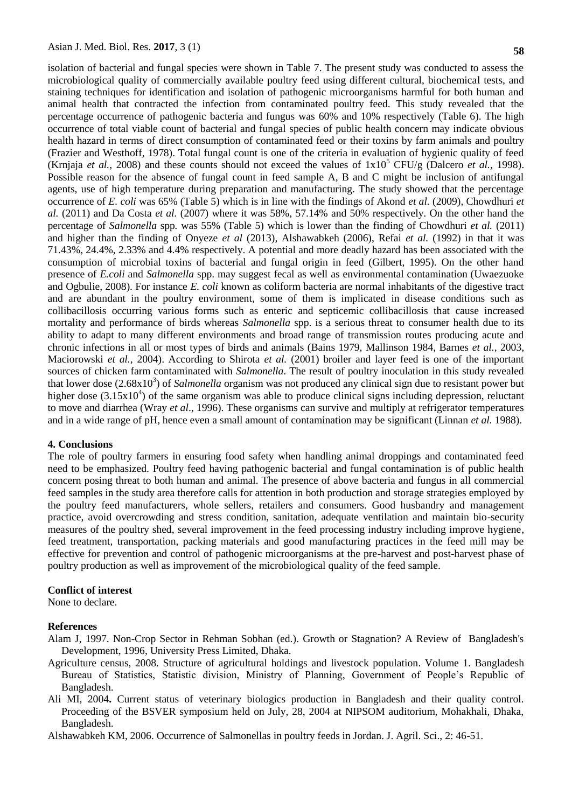isolation of bacterial and fungal species were shown in Table 7. The present study was conducted to assess the microbiological quality of commercially available poultry feed using different cultural, biochemical tests, and staining techniques for identification and isolation of pathogenic microorganisms harmful for both human and animal health that contracted the infection from contaminated poultry feed. This study revealed that the percentage occurrence of pathogenic bacteria and fungus was 60% and 10% respectively (Table 6). The high occurrence of total viable count of bacterial and fungal species of public health concern may indicate obvious health hazard in terms of direct consumption of contaminated feed or their toxins by farm animals and poultry (Frazier and Westhoff, 1978). Total fungal count is one of the criteria in evaluation of hygienic quality of feed (Krnjaja *et al.,* 2008) and these counts should not exceed the values of  $1x10^5$  CFU/g (Dalcero *et al.,* 1998). Possible reason for the absence of fungal count in feed sample A, B and C might be inclusion of antifungal agents, use of high temperature during preparation and manufacturing. The study showed that the percentage occurrence of *E. coli* was 65% (Table 5) which is in line with the findings of Akond *et al.* (2009), Chowdhuri *et al.* (2011) and Da Costa *et al.* (2007) where it was 58%, 57.14% and 50% respectively. On the other hand the percentage of *Salmonella* spp*.* was 55% (Table 5) which is lower than the finding of Chowdhuri *et al.* (2011) and higher than the finding of Onyeze *et al* (2013), Alshawabkeh (2006), Refai *et al.* (1992) in that it was 71.43%, 24.4%, 2.33% and 4.4% respectively. A potential and more deadly hazard has been associated with the consumption of microbial toxins of bacterial and fungal origin in feed (Gilbert, 1995). On the other hand presence of *E.coli* and *Salmonella* spp. may suggest fecal as well as environmental contamination (Uwaezuoke and Ogbulie, 2008). For instance *E. coli* known as coliform bacteria are normal inhabitants of the digestive tract and are abundant in the poultry environment, some of them is implicated in disease conditions such as collibacillosis occurring various forms such as enteric and septicemic collibacillosis that cause increased mortality and performance of birds whereas *Salmonella* spp. is a serious threat to consumer health due to its ability to adapt to many different environments and broad range of transmission routes producing acute and chronic infections in all or most types of birds and animals (Bains 1979, Mallinson 1984, Barnes *et al.,* 2003, Maciorowski *et al.,* 2004). According to Shirota *et al.* (2001) broiler and layer feed is one of the important sources of chicken farm contaminated with *Salmonella*. The result of poultry inoculation in this study revealed that lower dose (2.68x10<sup>3</sup>) of *Salmonella* organism was not produced any clinical sign due to resistant power but higher dose  $(3.15x10<sup>4</sup>)$  of the same organism was able to produce clinical signs including depression, reluctant to move and diarrhea (Wray *et al*., 1996). These organisms can survive and multiply at refrigerator temperatures and in a wide range of pH, hence even a small amount of contamination may be significant (Linnan *et al.* 1988).

#### **4. Conclusions**

The role of poultry farmers in ensuring food safety when handling animal droppings and contaminated feed need to be emphasized. Poultry feed having pathogenic bacterial and fungal contamination is of public health concern posing threat to both human and animal. The presence of above bacteria and fungus in all commercial feed samples in the study area therefore calls for attention in both production and storage strategies employed by the poultry feed manufacturers, whole sellers, retailers and consumers. Good husbandry and management practice, avoid overcrowding and stress condition, sanitation, adequate ventilation and maintain bio-security measures of the poultry shed, several improvement in the feed processing industry including improve hygiene, feed treatment, transportation, packing materials and good manufacturing practices in the feed mill may be effective for prevention and control of pathogenic microorganisms at the pre-harvest and post-harvest phase of poultry production as well as improvement of the microbiological quality of the feed sample.

#### **Conflict of interest**

None to declare.

#### **References**

- Alam J, 1997. Non-Crop Sector in Rehman Sobhan (ed.). Growth or Stagnation? A Review of Bangladesh's Development, 1996, University Press Limited, Dhaka.
- Agriculture census, 2008. Structure of agricultural holdings and livestock population. Volume 1. Bangladesh Bureau of Statistics, Statistic division, Ministry of Planning, Government of People's Republic of Bangladesh.
- Ali MI, 2004**.** Current status of veterinary biologics production in Bangladesh and their quality control. Proceeding of the BSVER symposium held on July, 28, 2004 at NIPSOM auditorium, Mohakhali, Dhaka, Bangladesh.

[Alshawabkeh](https://scholar.google.com/citations?user=Nfg9kYsAAAAJ&hl=en&oi=sra) KM, 2006. Occurrence of Salmonellas in poultry feeds in Jordan. J. Agril. Sci., 2: 46-51.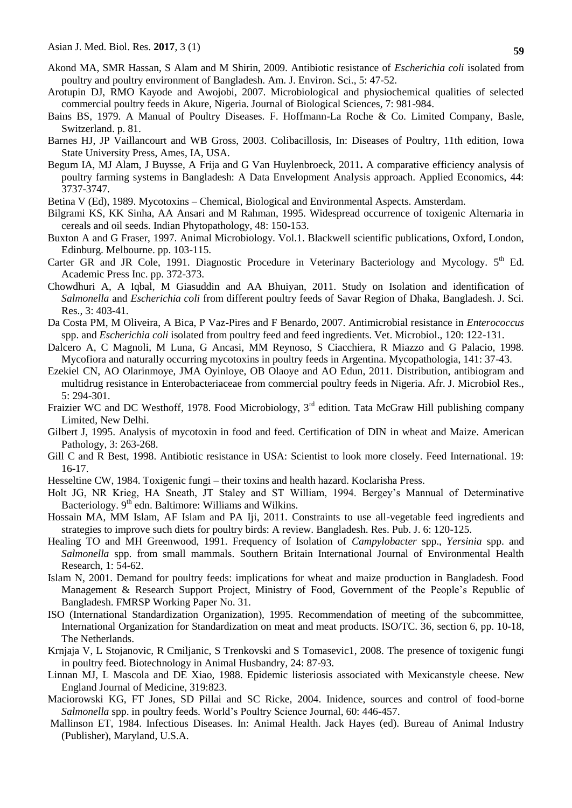- Akond MA, SMR Hassan, S Alam and M Shirin, 2009. Antibiotic resistance of *Escherichia coli* isolated from poultry and poultry environment of Bangladesh. Am. J. Environ. Sci., 5: 47-52.
- Arotupin DJ, RMO Kayode and Awojobi, 2007. Microbiological and physiochemical qualities of selected commercial poultry feeds in Akure, Nigeria. Journal of Biological Sciences, 7: 981-984.
- Bains BS, 1979. A Manual of Poultry Diseases. F. Hoffmann-La Roche & Co. Limited Company, Basle, Switzerland. p. 81.
- Barnes HJ, JP Vaillancourt and WB Gross, 2003. Colibacillosis, In: Diseases of Poultry, 11th edition, Iowa State University Press, Ames, IA, USA.
- Begum IA, MJ Alam, J Buysse, A Frija and G Van Huylenbroeck, 2011**.** A comparative efficiency analysis of poultry farming systems in Bangladesh: A Data Envelopment Analysis approach. Applied Economics, 44: 3737-3747.
- Betina V (Ed), 1989. Mycotoxins Chemical, Biological and Environmental Aspects. Amsterdam.
- Bilgrami KS, KK Sinha, AA Ansari and M Rahman, 1995. Widespread occurrence of toxigenic Alternaria in cereals and oil seeds. Indian Phytopathology, 48: 150-153.
- Buxton A and G Fraser, 1997. Animal Microbiology. Vol.1. Blackwell scientific publications, Oxford, London, Edinburg. Melbourne. pp. 103-115.
- Carter GR and JR Cole, 1991. Diagnostic Procedure in Veterinary Bacteriology and Mycology. 5<sup>th</sup> Ed. Academic Press Inc. pp. 372-373.
- Chowdhuri A, A Iqbal, M Giasuddin and AA Bhuiyan, 2011. Study on Isolation and identification of *Salmonella* and *Escherichia coli* from different poultry feeds of Savar Region of Dhaka, Bangladesh. J. Sci. Res., 3: 403-41.
- Da Costa PM, M Oliveira, A Bica, P Vaz-Pires and F Benardo, 2007. Antimicrobial resistance in *Enterococcus* spp. and *Escherichia coli* isolated from poultry feed and feed ingredients. Vet. Microbiol., 120: 122-131.
- Dalcero A, C Magnoli, M Luna, G Ancasi, MM Reynoso, S Ciacchiera, R Miazzo and G Palacio, 1998. Mycofiora and naturally occurring mycotoxins in poultry feeds in Argentina. Mycopathologia, 141: 37-43.
- Ezekiel CN, AO Olarinmoye, JMA Oyinloye, OB Olaoye and AO Edun, 2011. Distribution, antibiogram and multidrug resistance in Enterobacteriaceae from commercial poultry feeds in Nigeria. Afr. J. Microbiol Res., 5: 294-301.
- Fraizier WC and DC Westhoff, 1978. Food Microbiology, 3<sup>rd</sup> edition. Tata McGraw Hill publishing company Limited, New Delhi.
- Gilbert J, 1995. Analysis of mycotoxin in food and feed. Certification of DIN in wheat and Maize. American Pathology, 3: 263-268.
- Gill C and R Best, 1998. Antibiotic resistance in USA: Scientist to look more closely. Feed International. 19: 16-17.
- Hesseltine CW, 1984. Toxigenic fungi their toxins and health hazard. Koclarisha Press.
- Holt JG, NR Krieg, HA Sneath, JT Staley and ST William, 1994. Bergey's Mannual of Determinative Bacteriology. 9<sup>th</sup> edn. Baltimore: Williams and Wilkins.
- Hossain MA, MM Islam, AF Islam and PA Iji, 2011. Constraints to use all-vegetable feed ingredients and strategies to improve such diets for poultry birds: A review. Bangladesh. Res. Pub. J. 6: 120-125.
- Healing TO and MH Greenwood, 1991. Frequency of Isolation of *Campylobacter* spp., *Yersinia* spp. and *Salmonella* spp. from small mammals. Southern Britain International Journal of Environmental Health Research, 1: 54-62.
- Islam N, 2001. Demand for poultry feeds: implications for wheat and maize production in Bangladesh. Food Management & Research Support Project, Ministry of Food, Government of the People's Republic of Bangladesh. FMRSP Working Paper No. 31.
- ISO (International Standardization Organization), 1995. Recommendation of meeting of the subcommittee, International Organization for Standardization on meat and meat products. ISO/TC. 36, section 6, pp. 10-18, The Netherlands.
- Krnjaja V, L Stojanovic, R Cmiljanic, S Trenkovski and S Tomasevic1, 2008. The presence of toxigenic fungi in poultry feed. Biotechnology in Animal Husbandry, 24: 87-93.
- Linnan MJ, L Mascola and DE Xiao, 1988. Epidemic listeriosis associated with Mexicanstyle cheese. New England Journal of Medicine, 319:823.
- Maciorowski KG, FT Jones, SD Pillai and SC Ricke, 2004. Inidence, sources and control of food-borne *Salmonella* spp. in poultry feeds*.* World's Poultry Science Journal, 60: 446-457.
- Mallinson ET, 1984. Infectious Diseases. In: Animal Health. Jack Hayes (ed). Bureau of Animal Industry (Publisher), Maryland, U.S.A.